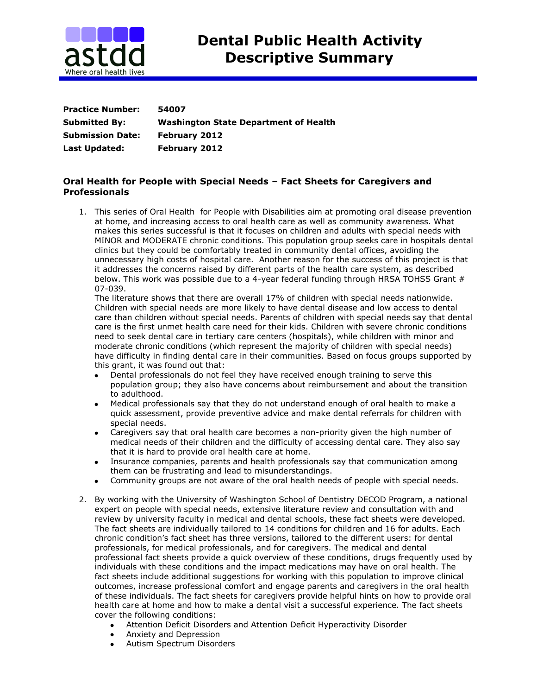

| <b>Practice Number:</b> | 54007                                        |
|-------------------------|----------------------------------------------|
| <b>Submitted By:</b>    | <b>Washington State Department of Health</b> |
| <b>Submission Date:</b> | <b>February 2012</b>                         |
| Last Updated:           | <b>February 2012</b>                         |

## **Oral Health for People with Special Needs – Fact Sheets for Caregivers and Professionals**

1. This series of Oral Health for People with Disabilities aim at promoting oral disease prevention at home, and increasing access to oral health care as well as community awareness. What makes this series successful is that it focuses on children and adults with special needs with MINOR and MODERATE chronic conditions. This population group seeks care in hospitals dental clinics but they could be comfortably treated in community dental offices, avoiding the unnecessary high costs of hospital care. Another reason for the success of this project is that it addresses the concerns raised by different parts of the health care system, as described below. This work was possible due to a 4-year federal funding through HRSA TOHSS Grant # 07-039.

The literature shows that there are overall 17% of children with special needs nationwide. Children with special needs are more likely to have dental disease and low access to dental care than children without special needs. Parents of children with special needs say that dental care is the first unmet health care need for their kids. Children with severe chronic conditions need to seek dental care in tertiary care centers (hospitals), while children with minor and moderate chronic conditions (which represent the majority of children with special needs) have difficulty in finding dental care in their communities. Based on focus groups supported by this grant, it was found out that:

- $\bullet$ Dental professionals do not feel they have received enough training to serve this population group; they also have concerns about reimbursement and about the transition to adulthood.
- Medical professionals say that they do not understand enough of oral health to make a  $\bullet$  . quick assessment, provide preventive advice and make dental referrals for children with special needs.
- Caregivers say that oral health care becomes a non-priority given the high number of medical needs of their children and the difficulty of accessing dental care. They also say that it is hard to provide oral health care at home.
- Insurance companies, parents and health professionals say that communication among them can be frustrating and lead to misunderstandings.
- Community groups are not aware of the oral health needs of people with special needs.
- 2. By working with the University of Washington School of Dentistry DECOD Program, a national expert on people with special needs, extensive literature review and consultation with and review by university faculty in medical and dental schools, these fact sheets were developed. The fact sheets are individually tailored to 14 conditions for children and 16 for adults. Each chronic condition's fact sheet has three versions, tailored to the different users: for dental professionals, for medical professionals, and for caregivers. The medical and dental professional fact sheets provide a quick overview of these conditions, drugs frequently used by individuals with these conditions and the impact medications may have on oral health. The fact sheets include additional suggestions for working with this population to improve clinical outcomes, increase professional comfort and engage parents and caregivers in the oral health of these individuals. The fact sheets for caregivers provide helpful hints on how to provide oral health care at home and how to make a dental visit a successful experience. The fact sheets cover the following conditions:
	- Attention Deficit Disorders and Attention Deficit Hyperactivity Disorder  $\bullet$
	- $\bullet$ Anxiety and Depression
	- Autism Spectrum Disorders $\bullet$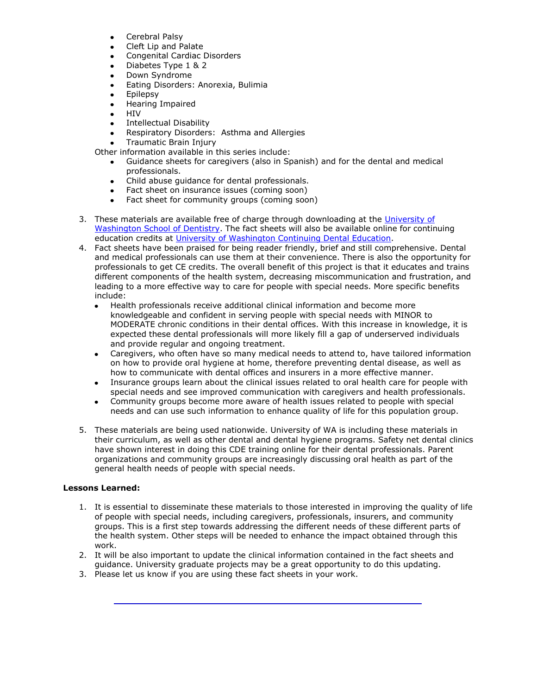- Cerebral Palsy
- Cleft Lip and Palate  $\bullet$
- $\bullet$ Congenital Cardiac Disorders
- $\bullet$ Diabetes Type 1 & 2
- Down Syndrome  $\bullet$
- Eating Disorders: Anorexia, Bulimia  $\bullet$
- Epilepsy  $\bullet$
- Hearing Impaired  $\bullet$
- $\bullet$ HIV
- Intellectual Disability  $\bullet$
- Respiratory Disorders: Asthma and Allergies  $\bullet$
- Traumatic Brain Injury

Other information available in this series include:

- Guidance sheets for caregivers (also in Spanish) and for the dental and medical professionals.
- Child abuse guidance for dental professionals.  $\bullet$
- Fact sheet on insurance issues (coming soon)  $\bullet$
- Fact sheet for community groups (coming soon)  $\bullet$
- 3. These materials are available free of charge through downloading at the [University of](http://dental.washington.edu/departments/oral-medicine/special-needs-fact-sheets.html)  [Washington School of Dentistry.](http://dental.washington.edu/departments/oral-medicine/special-needs-fact-sheets.html) The fact sheets will also be available online for continuing education credits at [University of Washington Continuing Dental Education.](http://www.dental.washington.edu/cde/current-course-listings.html)
- 4. Fact sheets have been praised for being reader friendly, brief and still comprehensive. Dental and medical professionals can use them at their convenience. There is also the opportunity for professionals to get CE credits. The overall benefit of this project is that it educates and trains different components of the health system, decreasing miscommunication and frustration, and leading to a more effective way to care for people with special needs. More specific benefits include:
	- Health professionals receive additional clinical information and become more  $\bullet$ knowledgeable and confident in serving people with special needs with MINOR to MODERATE chronic conditions in their dental offices. With this increase in knowledge, it is expected these dental professionals will more likely fill a gap of underserved individuals and provide regular and ongoing treatment.
	- Caregivers, who often have so many medical needs to attend to, have tailored information on how to provide oral hygiene at home, therefore preventing dental disease, as well as how to communicate with dental offices and insurers in a more effective manner.
	- Insurance groups learn about the clinical issues related to oral health care for people with special needs and see improved communication with caregivers and health professionals.
	- Community groups become more aware of health issues related to people with special  $\bullet$ needs and can use such information to enhance quality of life for this population group.
- 5. These materials are being used nationwide. University of WA is including these materials in their curriculum, as well as other dental and dental hygiene programs. Safety net dental clinics have shown interest in doing this CDE training online for their dental professionals. Parent organizations and community groups are increasingly discussing oral health as part of the general health needs of people with special needs.

## **Lessons Learned:**

- 1. It is essential to disseminate these materials to those interested in improving the quality of life of people with special needs, including caregivers, professionals, insurers, and community groups. This is a first step towards addressing the different needs of these different parts of the health system. Other steps will be needed to enhance the impact obtained through this work.
- 2. It will be also important to update the clinical information contained in the fact sheets and guidance. University graduate projects may be a great opportunity to do this updating.
- 3. Please let us know if you are using these fact sheets in your work.